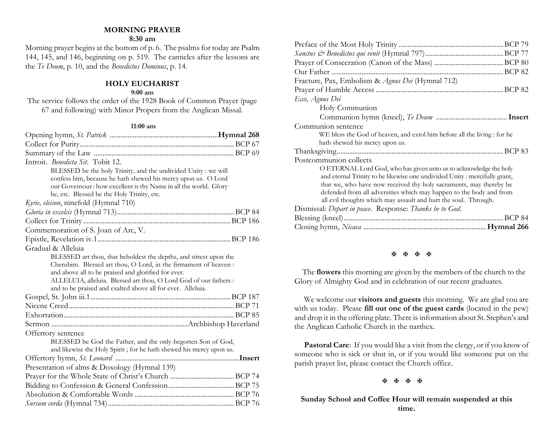## **MORNING PRAYER**

## **8:30 am**

Morning prayer begins at the bottom of p. 6. The psalms for today are Psalm 144, 145, and 146, beginning on p. 519. The canticles after the lessons are the *Te Deum*, p. 10, and the *Benedictus Dominus*, p. 14.

## **HOLY EUCHARIST**

#### **9:00 am**

The service follows the order of the 1928 Book of Common Prayer (page 67 and following) with Minor Propers from the Anglican Missal.

#### **11:00 am**

| Introit. Benedicta Sit. Tobit 12.                                   |  |
|---------------------------------------------------------------------|--|
| BLESSED be the holy Trinity, and the undivided Unity : we will      |  |
| confess him, because he hath shewed his mercy upon us. O Lord       |  |
| our Governour: how excellent is thy Name in all the world. Glory    |  |
| be, etc. Blessed be the Holy Trinity, etc.                          |  |
| Kyrie, eleison, ninefold (Hymnal 710)                               |  |
|                                                                     |  |
|                                                                     |  |
| Commemoration of S. Joan of Arc, V.                                 |  |
|                                                                     |  |
| Gradual & Alleluia                                                  |  |
| BLESSED art thou, that beholdest the depths, and sittest upon the   |  |
| Cherubim. Blessed art thou, O Lord, in the firmament of heaven :    |  |
| and above all to be praised and glorified for ever.                 |  |
| ALLELUIA, alleluia. Blessed art thou, O Lord God of our fathers :   |  |
| and to be praised and exalted above all for ever. Alleluia.         |  |
|                                                                     |  |
|                                                                     |  |
|                                                                     |  |
|                                                                     |  |
| Offertory sentence                                                  |  |
| BLESSED be God the Father, and the only-begotten Son of God,        |  |
| and likewise the Holy Spirit; for he hath shewed his mercy upon us. |  |
|                                                                     |  |
| Presentation of alms & Doxology (Hymnal 139)                        |  |
|                                                                     |  |
|                                                                     |  |
|                                                                     |  |
|                                                                     |  |

| Fracture, Pax, Embolism & Agnus Dei (Hymnal 712)                          |
|---------------------------------------------------------------------------|
|                                                                           |
| Ecce, Agnus Dei                                                           |
| Holy Communion                                                            |
|                                                                           |
| Communion sentence                                                        |
| WE bless the God of heaven, and extol him before all the living : for he  |
| hath shewed his mercy upon us.                                            |
|                                                                           |
| Postcommunion collects                                                    |
| O ETERNAL Lord God, who has given unto us to acknowledge the holy         |
| and eternal Trinity to be likewise one undivided Unity: mercifully grant, |
| that we, who have now received thy holy sacraments, may thereby be        |
| defended from all adversities which may happen to the body and from       |
| all evil thoughts which may assault and hurt the soul. Through.           |
| Dismissal: Depart in peace. Response: Thanks be to God.                   |
| <b>BCP 84</b>                                                             |
|                                                                           |

## **H H H H**

 The **flowers** this morning are given by the members of the church to the Glory of Almighty God and in celebration of our recent graduates.

We welcome our **visitors and guests** this morning. We are glad you are with us today. Please **fill out one of the guest cards** (located in the pew) and drop it in the offering plate. There is information about St. Stephen's and the Anglican Catholic Church in the narthex.

**Pastoral Care**: If you would like a visit from the clergy, or if you know of someone who is sick or shut in, or if you would like someone put on the parish prayer list, please contact the Church office.

**H H H H** 

## **Sunday School and Coffee Hour will remain suspended at this time.**